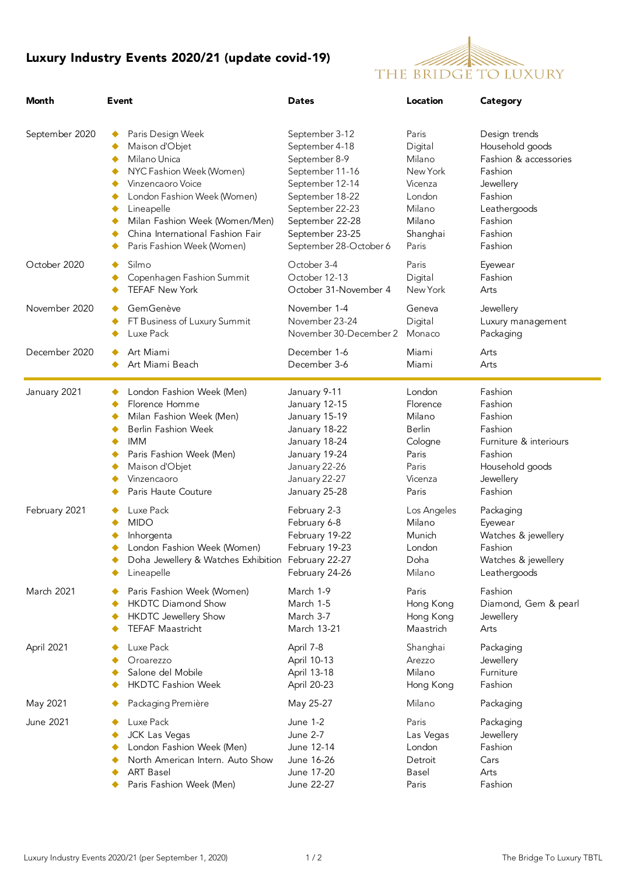## Luxury Industry Events 2020/21 (update covid-19)



| Month          | Event                                                                                                                                                                                                                                                                                                   | <b>Dates</b>                                                                                                                                                                                  | Location                                                                                             | Category                                                                                                                                      |  |
|----------------|---------------------------------------------------------------------------------------------------------------------------------------------------------------------------------------------------------------------------------------------------------------------------------------------------------|-----------------------------------------------------------------------------------------------------------------------------------------------------------------------------------------------|------------------------------------------------------------------------------------------------------|-----------------------------------------------------------------------------------------------------------------------------------------------|--|
| September 2020 | Paris Design Week<br>٠<br>Maison d'Objet<br>٠<br>Milano Unica<br>٠<br>NYC Fashion Week (Women)<br>٠<br>Vinzencaoro Voice<br>٠<br>London Fashion Week (Women)<br>٠<br>Lineapelle<br>٠<br>Milan Fashion Week (Women/Men)<br>٠<br>China International Fashion Fair<br>٠<br>Paris Fashion Week (Women)<br>٠ | September 3-12<br>September 4-18<br>September 8-9<br>September 11-16<br>September 12-14<br>September 18-22<br>September 22-23<br>September 22-28<br>September 23-25<br>September 28-October 6 | Paris<br>Digital<br>Milano<br>New York<br>Vicenza<br>London<br>Milano<br>Milano<br>Shanghai<br>Paris | Design trends<br>Household goods<br>Fashion & accessories<br>Fashion<br>Jewellery<br>Fashion<br>Leathergoods<br>Fashion<br>Fashion<br>Fashion |  |
| October 2020   | Silmo<br>Copenhagen Fashion Summit<br>٠<br><b>TEFAF New York</b><br>٠                                                                                                                                                                                                                                   | October 3-4<br>October 12-13<br>October 31-November 4                                                                                                                                         | Paris<br>Digital<br>New York                                                                         | Eyewear<br>Fashion<br>Arts                                                                                                                    |  |
| November 2020  | GemGenève<br>٠<br>FT Business of Luxury Summit<br>Luxe Pack                                                                                                                                                                                                                                             | November 1-4<br>November 23-24<br>November 30-December 2                                                                                                                                      | Geneva<br>Digital<br>Monaco                                                                          | Jewellery<br>Luxury management<br>Packaging                                                                                                   |  |
| December 2020  | Art Miami<br>Art Miami Beach<br>٠                                                                                                                                                                                                                                                                       | December 1-6<br>December 3-6                                                                                                                                                                  | Miami<br>Miami                                                                                       | Arts<br>Arts                                                                                                                                  |  |
| January 2021   | London Fashion Week (Men)<br>Florence Homme<br>٠<br>Milan Fashion Week (Men)<br>٠<br><b>Berlin Fashion Week</b><br><b>IMM</b><br>٠<br>Paris Fashion Week (Men)<br>Maison d'Objet<br>Vinzencaoro<br>Paris Haute Couture                                                                                  | January 9-11<br>January 12-15<br>January 15-19<br>January 18-22<br>January 18-24<br>January 19-24<br>January 22-26<br>January 22-27<br>January 25-28                                          | London<br>Florence<br>Milano<br><b>Berlin</b><br>Cologne<br>Paris<br>Paris<br>Vicenza<br>Paris       | Fashion<br>Fashion<br>Fashion<br>Fashion<br>Furniture & interiours<br>Fashion<br>Household goods<br>Jewellery<br>Fashion                      |  |
| February 2021  | Luxe Pack<br><b>MIDO</b><br>Inhorgenta<br>London Fashion Week (Women)<br>Doha Jewellery & Watches Exhibition February 22-27<br>Lineapelle                                                                                                                                                               | February 2-3<br>February 6-8<br>February 19-22<br>February 19-23<br>February 24-26                                                                                                            | Los Angeles<br>Milano<br>Munich<br>London<br>Doha<br>Milano                                          | Packaging<br>Eyewear<br>Watches & jewellery<br>Fashion<br>Watches & jewellery<br>Leathergoods                                                 |  |
| March 2021     | Paris Fashion Week (Women)<br><b>HKDTC Diamond Show</b><br><b>HKDTC Jewellery Show</b><br><b>TEFAF Maastricht</b>                                                                                                                                                                                       | March 1-9<br>March 1-5<br>March 3-7<br>March 13-21                                                                                                                                            | Paris<br>Hong Kong<br>Hong Kong<br>Maastrich                                                         | Fashion<br>Diamond, Gem & pearl<br>Jewellery<br>Arts                                                                                          |  |
| April 2021     | Luxe Pack<br>Oroarezzo<br>Salone del Mobile<br><b>HKDTC Fashion Week</b>                                                                                                                                                                                                                                | April 7-8<br>April 10-13<br>April 13-18<br>April 20-23                                                                                                                                        | Shanghai<br>Arezzo<br>Milano<br>Hong Kong                                                            | Packaging<br>Jewellery<br>Furniture<br>Fashion                                                                                                |  |
| May 2021       | Packaging Première                                                                                                                                                                                                                                                                                      | May 25-27                                                                                                                                                                                     | Milano                                                                                               | Packaging                                                                                                                                     |  |
| June 2021      | Luxe Pack<br>JCK Las Vegas<br>London Fashion Week (Men)<br>North American Intern. Auto Show<br><b>ART Basel</b><br>Paris Fashion Week (Men)                                                                                                                                                             | <b>June 1-2</b><br><b>June 2-7</b><br>June 12-14<br>June 16-26<br>June 17-20<br>June 22-27                                                                                                    | Paris<br>Las Vegas<br>London<br>Detroit<br>Basel<br>Paris                                            | Packaging<br>Jewellery<br>Fashion<br>Cars<br>Arts<br>Fashion                                                                                  |  |